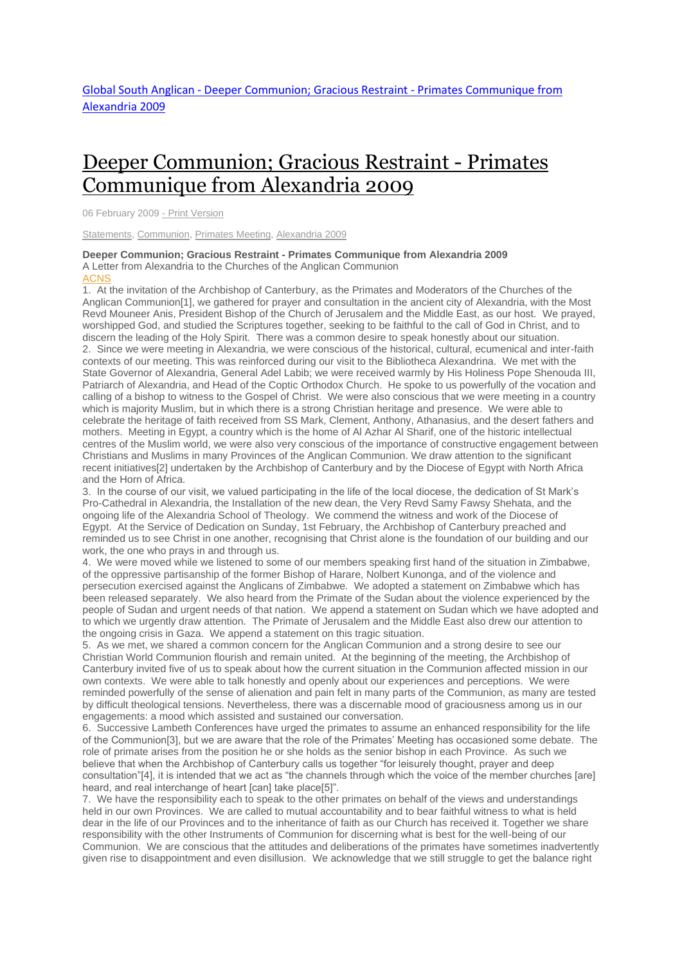## Deeper [Communion;](http://www.globalsouthanglican.org/index.php/blog/comments/deeper_communion_gracious_restraint_primates_communique_from_alexandria) Gracious Restraint - Primates [Communique](http://www.globalsouthanglican.org/index.php/blog/comments/deeper_communion_gracious_restraint_primates_communique_from_alexandria) from Alexandria 2009

06 February 2009 - Print [Version](http://globalsouthanglican.org/index.php/blog/printing/deeper_communion_gracious_restraint_primates_communique_from_alexandria)

[Statements,](http://globalsouthanglican.org/index.php/archives/category/statements) [Communion,](http://globalsouthanglican.org/index.php/archives/category/communion) [Primates](http://globalsouthanglican.org/index.php/archives/category/primates_meeting) Meeting, [Alexandria](http://globalsouthanglican.org/index.php/archives/category/alexandria_2009) 2009

## **Deeper Communion; Gracious Restraint - Primates Communique from Alexandria 2009** A Letter from Alexandria to the Churches of the Anglican Communion [ACNS](http://www.anglicancommunion.org/acns/news.cfm/2009/2/5/ACNS4574)

1. At the invitation of the Archbishop of Canterbury, as the Primates and Moderators of the Churches of the Anglican Communion[1], we gathered for prayer and consultation in the ancient city of Alexandria, with the Most Revd Mouneer Anis, President Bishop of the Church of Jerusalem and the Middle East, as our host. We prayed, worshipped God, and studied the Scriptures together, seeking to be faithful to the call of God in Christ, and to discern the leading of the Holy Spirit. There was a common desire to speak honestly about our situation. 2. Since we were meeting in Alexandria, we were conscious of the historical, cultural, ecumenical and inter-faith contexts of our meeting. This was reinforced during our visit to the Bibliotheca Alexandrina. We met with the State Governor of Alexandria, General Adel Labib; we were received warmly by His Holiness Pope Shenouda III, Patriarch of Alexandria, and Head of the Coptic Orthodox Church. He spoke to us powerfully of the vocation and calling of a bishop to witness to the Gospel of Christ. We were also conscious that we were meeting in a country which is majority Muslim, but in which there is a strong Christian heritage and presence. We were able to celebrate the heritage of faith received from SS Mark, Clement, Anthony, Athanasius, and the desert fathers and mothers. Meeting in Egypt, a country which is the home of Al Azhar Al Sharif, one of the historic intellectual centres of the Muslim world, we were also very conscious of the importance of constructive engagement between Christians and Muslims in many Provinces of the Anglican Communion. We draw attention to the significant recent initiatives[2] undertaken by the Archbishop of Canterbury and by the Diocese of Egypt with North Africa and the Horn of Africa.

3. In the course of our visit, we valued participating in the life of the local diocese, the dedication of St Mark's Pro-Cathedral in Alexandria, the Installation of the new dean, the Very Revd Samy Fawsy Shehata, and the ongoing life of the Alexandria School of Theology. We commend the witness and work of the Diocese of Egypt. At the Service of Dedication on Sunday, 1st February, the Archbishop of Canterbury preached and reminded us to see Christ in one another, recognising that Christ alone is the foundation of our building and our work, the one who prays in and through us.

4. We were moved while we listened to some of our members speaking first hand of the situation in Zimbabwe, of the oppressive partisanship of the former Bishop of Harare, Nolbert Kunonga, and of the violence and persecution exercised against the Anglicans of Zimbabwe. We adopted a statement on Zimbabwe which has been released separately. We also heard from the Primate of the Sudan about the violence experienced by the people of Sudan and urgent needs of that nation. We append a statement on Sudan which we have adopted and to which we urgently draw attention. The Primate of Jerusalem and the Middle East also drew our attention to the ongoing crisis in Gaza. We append a statement on this tragic situation.

5. As we met, we shared a common concern for the Anglican Communion and a strong desire to see our Christian World Communion flourish and remain united. At the beginning of the meeting, the Archbishop of Canterbury invited five of us to speak about how the current situation in the Communion affected mission in our own contexts. We were able to talk honestly and openly about our experiences and perceptions. We were reminded powerfully of the sense of alienation and pain felt in many parts of the Communion, as many are tested by difficult theological tensions. Nevertheless, there was a discernable mood of graciousness among us in our engagements: a mood which assisted and sustained our conversation.

6. Successive Lambeth Conferences have urged the primates to assume an enhanced responsibility for the life of the Communion[3], but we are aware that the role of the Primates' Meeting has occasioned some debate. The role of primate arises from the position he or she holds as the senior bishop in each Province. As such we believe that when the Archbishop of Canterbury calls us together "for leisurely thought, prayer and deep consultation"[4], it is intended that we act as "the channels through which the voice of the member churches [are] heard, and real interchange of heart [can] take place[5]".

7. We have the responsibility each to speak to the other primates on behalf of the views and understandings held in our own Provinces. We are called to mutual accountability and to bear faithful witness to what is held dear in the life of our Provinces and to the inheritance of faith as our Church has received it. Together we share responsibility with the other Instruments of Communion for discerning what is best for the well-being of our Communion. We are conscious that the attitudes and deliberations of the primates have sometimes inadvertently given rise to disappointment and even disillusion. We acknowledge that we still struggle to get the balance right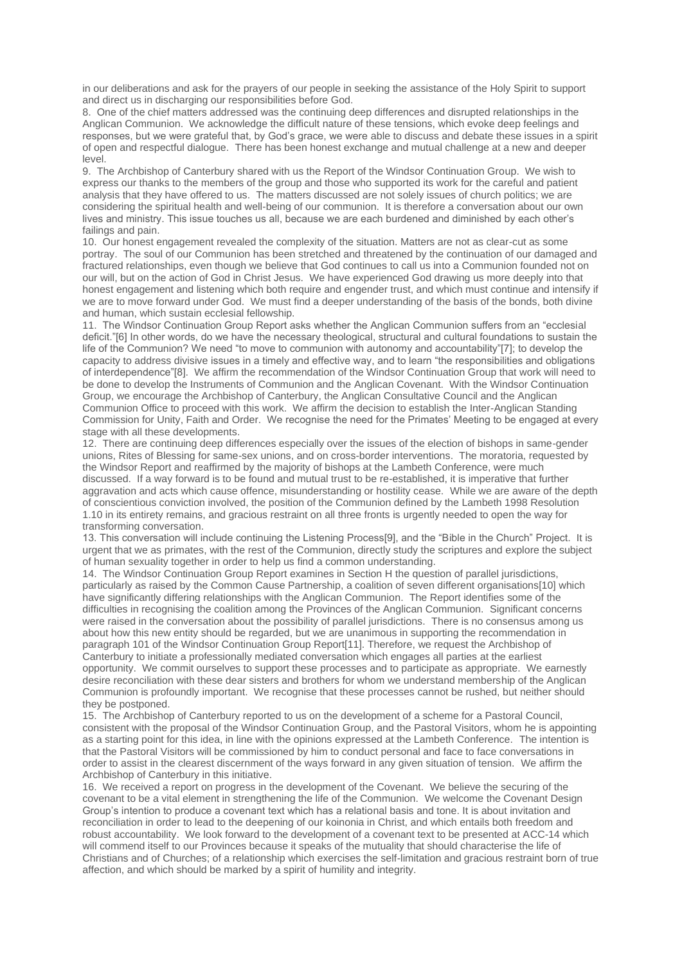in our deliberations and ask for the prayers of our people in seeking the assistance of the Holy Spirit to support and direct us in discharging our responsibilities before God.

8. One of the chief matters addressed was the continuing deep differences and disrupted relationships in the Anglican Communion. We acknowledge the difficult nature of these tensions, which evoke deep feelings and responses, but we were grateful that, by God's grace, we were able to discuss and debate these issues in a spirit of open and respectful dialogue. There has been honest exchange and mutual challenge at a new and deeper level.

9. The Archbishop of Canterbury shared with us the Report of the Windsor Continuation Group. We wish to express our thanks to the members of the group and those who supported its work for the careful and patient analysis that they have offered to us. The matters discussed are not solely issues of church politics; we are considering the spiritual health and well-being of our communion. It is therefore a conversation about our own lives and ministry. This issue touches us all, because we are each burdened and diminished by each other's failings and pain.

10. Our honest engagement revealed the complexity of the situation. Matters are not as clear-cut as some portray. The soul of our Communion has been stretched and threatened by the continuation of our damaged and fractured relationships, even though we believe that God continues to call us into a Communion founded not on our will, but on the action of God in Christ Jesus. We have experienced God drawing us more deeply into that honest engagement and listening which both require and engender trust, and which must continue and intensify if we are to move forward under God. We must find a deeper understanding of the basis of the bonds, both divine and human, which sustain ecclesial fellowship.

11. The Windsor Continuation Group Report asks whether the Anglican Communion suffers from an "ecclesial deficit."[6] In other words, do we have the necessary theological, structural and cultural foundations to sustain the life of the Communion? We need "to move to communion with autonomy and accountability"[7]; to develop the capacity to address divisive issues in a timely and effective way, and to learn "the responsibilities and obligations of interdependence"[8]. We affirm the recommendation of the Windsor Continuation Group that work will need to be done to develop the Instruments of Communion and the Anglican Covenant. With the Windsor Continuation Group, we encourage the Archbishop of Canterbury, the Anglican Consultative Council and the Anglican Communion Office to proceed with this work. We affirm the decision to establish the Inter-Anglican Standing Commission for Unity, Faith and Order. We recognise the need for the Primates' Meeting to be engaged at every stage with all these developments.

12. There are continuing deep differences especially over the issues of the election of bishops in same-gender unions, Rites of Blessing for same-sex unions, and on cross-border interventions. The moratoria, requested by the Windsor Report and reaffirmed by the majority of bishops at the Lambeth Conference, were much discussed. If a way forward is to be found and mutual trust to be re-established, it is imperative that further aggravation and acts which cause offence, misunderstanding or hostility cease. While we are aware of the depth of conscientious conviction involved, the position of the Communion defined by the Lambeth 1998 Resolution 1.10 in its entirety remains, and gracious restraint on all three fronts is urgently needed to open the way for transforming conversation.

13. This conversation will include continuing the Listening Process[9], and the "Bible in the Church" Project. It is urgent that we as primates, with the rest of the Communion, directly study the scriptures and explore the subject of human sexuality together in order to help us find a common understanding.

14. The Windsor Continuation Group Report examines in Section H the question of parallel jurisdictions, particularly as raised by the Common Cause Partnership, a coalition of seven different organisations[10] which have significantly differing relationships with the Anglican Communion. The Report identifies some of the difficulties in recognising the coalition among the Provinces of the Anglican Communion. Significant concerns were raised in the conversation about the possibility of parallel jurisdictions. There is no consensus among us about how this new entity should be regarded, but we are unanimous in supporting the recommendation in paragraph 101 of the Windsor Continuation Group Report[11]. Therefore, we request the Archbishop of Canterbury to initiate a professionally mediated conversation which engages all parties at the earliest opportunity. We commit ourselves to support these processes and to participate as appropriate. We earnestly desire reconciliation with these dear sisters and brothers for whom we understand membership of the Anglican Communion is profoundly important. We recognise that these processes cannot be rushed, but neither should they be postponed.

15. The Archbishop of Canterbury reported to us on the development of a scheme for a Pastoral Council, consistent with the proposal of the Windsor Continuation Group, and the Pastoral Visitors, whom he is appointing as a starting point for this idea, in line with the opinions expressed at the Lambeth Conference. The intention is that the Pastoral Visitors will be commissioned by him to conduct personal and face to face conversations in order to assist in the clearest discernment of the ways forward in any given situation of tension. We affirm the Archbishop of Canterbury in this initiative.

16. We received a report on progress in the development of the Covenant. We believe the securing of the covenant to be a vital element in strengthening the life of the Communion. We welcome the Covenant Design Group's intention to produce a covenant text which has a relational basis and tone. It is about invitation and reconciliation in order to lead to the deepening of our koinonia in Christ, and which entails both freedom and robust accountability. We look forward to the development of a covenant text to be presented at ACC-14 which will commend itself to our Provinces because it speaks of the mutuality that should characterise the life of Christians and of Churches; of a relationship which exercises the self-limitation and gracious restraint born of true affection, and which should be marked by a spirit of humility and integrity.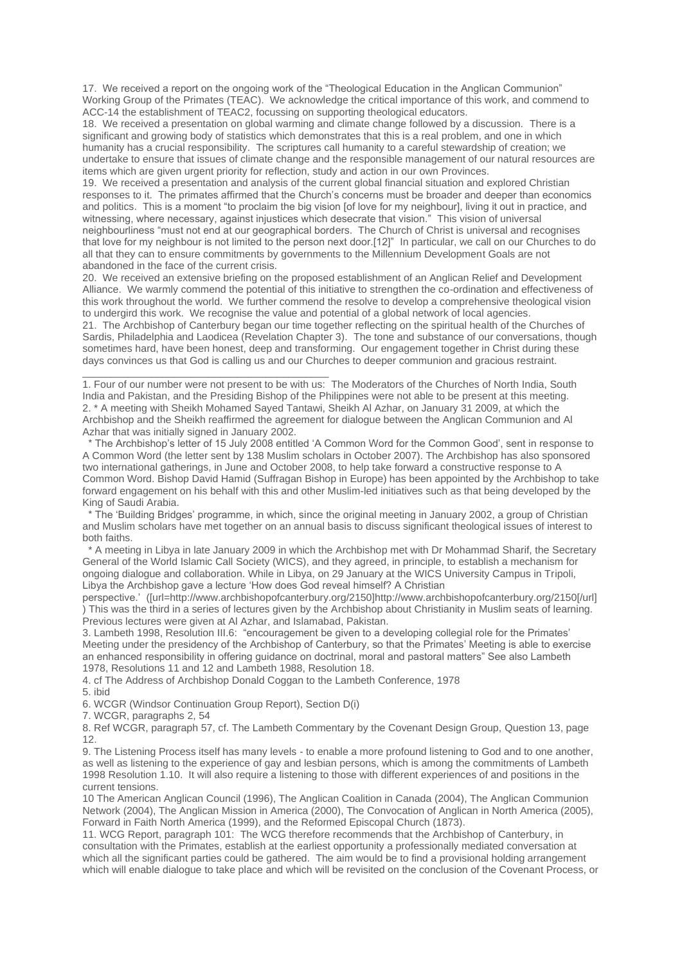17. We received a report on the ongoing work of the "Theological Education in the Anglican Communion" Working Group of the Primates (TEAC). We acknowledge the critical importance of this work, and commend to ACC-14 the establishment of TEAC2, focussing on supporting theological educators.

18. We received a presentation on global warming and climate change followed by a discussion. There is a significant and growing body of statistics which demonstrates that this is a real problem, and one in which humanity has a crucial responsibility. The scriptures call humanity to a careful stewardship of creation; we undertake to ensure that issues of climate change and the responsible management of our natural resources are items which are given urgent priority for reflection, study and action in our own Provinces.

19. We received a presentation and analysis of the current global financial situation and explored Christian responses to it. The primates affirmed that the Church's concerns must be broader and deeper than economics and politics. This is a moment "to proclaim the big vision [of love for my neighbour], living it out in practice, and witnessing, where necessary, against injustices which desecrate that vision." This vision of universal neighbourliness "must not end at our geographical borders. The Church of Christ is universal and recognises that love for my neighbour is not limited to the person next door.[12]" In particular, we call on our Churches to do all that they can to ensure commitments by governments to the Millennium Development Goals are not abandoned in the face of the current crisis.

20. We received an extensive briefing on the proposed establishment of an Anglican Relief and Development Alliance. We warmly commend the potential of this initiative to strengthen the co-ordination and effectiveness of this work throughout the world. We further commend the resolve to develop a comprehensive theological vision to undergird this work. We recognise the value and potential of a global network of local agencies.

21. The Archbishop of Canterbury began our time together reflecting on the spiritual health of the Churches of Sardis, Philadelphia and Laodicea (Revelation Chapter 3). The tone and substance of our conversations, though sometimes hard, have been honest, deep and transforming. Our engagement together in Christ during these days convinces us that God is calling us and our Churches to deeper communion and gracious restraint.

1. Four of our number were not present to be with us: The Moderators of the Churches of North India, South India and Pakistan, and the Presiding Bishop of the Philippines were not able to be present at this meeting. 2. \* A meeting with Sheikh Mohamed Sayed Tantawi, Sheikh Al Azhar, on January 31 2009, at which the Archbishop and the Sheikh reaffirmed the agreement for dialogue between the Anglican Communion and Al Azhar that was initially signed in January 2002.

\* The Archbishop's letter of 15 July 2008 entitled 'A Common Word for the Common Good', sent in response to A Common Word (the letter sent by 138 Muslim scholars in October 2007). The Archbishop has also sponsored two international gatherings, in June and October 2008, to help take forward a constructive response to A Common Word. Bishop David Hamid (Suffragan Bishop in Europe) has been appointed by the Archbishop to take forward engagement on his behalf with this and other Muslim-led initiatives such as that being developed by the King of Saudi Arabia.

\* The 'Building Bridges' programme, in which, since the original meeting in January 2002, a group of Christian and Muslim scholars have met together on an annual basis to discuss significant theological issues of interest to both faiths.

\* A meeting in Libya in late January 2009 in which the Archbishop met with Dr Mohammad Sharif, the Secretary General of the World Islamic Call Society (WICS), and they agreed, in principle, to establish a mechanism for ongoing dialogue and collaboration. While in Libya, on 29 January at the WICS University Campus in Tripoli, Libya the Archbishop gave a lecture 'How does God reveal himself? A Christian

perspective.' ([url=http://www.archbishopofcanterbury.org/2150]http://www.archbishopofcanterbury.org/2150[/url] ) This was the third in a series of lectures given by the Archbishop about Christianity in Muslim seats of learning. Previous lectures were given at Al Azhar, and Islamabad, Pakistan.

3. Lambeth 1998, Resolution III.6: "encouragement be given to a developing collegial role for the Primates' Meeting under the presidency of the Archbishop of Canterbury, so that the Primates' Meeting is able to exercise an enhanced responsibility in offering guidance on doctrinal, moral and pastoral matters" See also Lambeth 1978, Resolutions 11 and 12 and Lambeth 1988, Resolution 18.

4. cf The Address of Archbishop Donald Coggan to the Lambeth Conference, 1978

5. ibid

6. WCGR (Windsor Continuation Group Report), Section D(i)

\_\_\_\_\_\_\_\_\_\_\_\_\_\_\_\_\_\_\_\_\_\_\_\_\_\_\_\_\_\_\_\_\_\_\_\_\_\_\_\_\_\_\_

7. WCGR, paragraphs 2, 54

8. Ref WCGR, paragraph 57, cf. The Lambeth Commentary by the Covenant Design Group, Question 13, page 12.

9. The Listening Process itself has many levels - to enable a more profound listening to God and to one another, as well as listening to the experience of gay and lesbian persons, which is among the commitments of Lambeth 1998 Resolution 1.10. It will also require a listening to those with different experiences of and positions in the current tensions.

10 The American Anglican Council (1996), The Anglican Coalition in Canada (2004), The Anglican Communion Network (2004), The Anglican Mission in America (2000), The Convocation of Anglican in North America (2005), Forward in Faith North America (1999), and the Reformed Episcopal Church (1873).

11. WCG Report, paragraph 101: The WCG therefore recommends that the Archbishop of Canterbury, in consultation with the Primates, establish at the earliest opportunity a professionally mediated conversation at which all the significant parties could be gathered. The aim would be to find a provisional holding arrangement which will enable dialogue to take place and which will be revisited on the conclusion of the Covenant Process, or